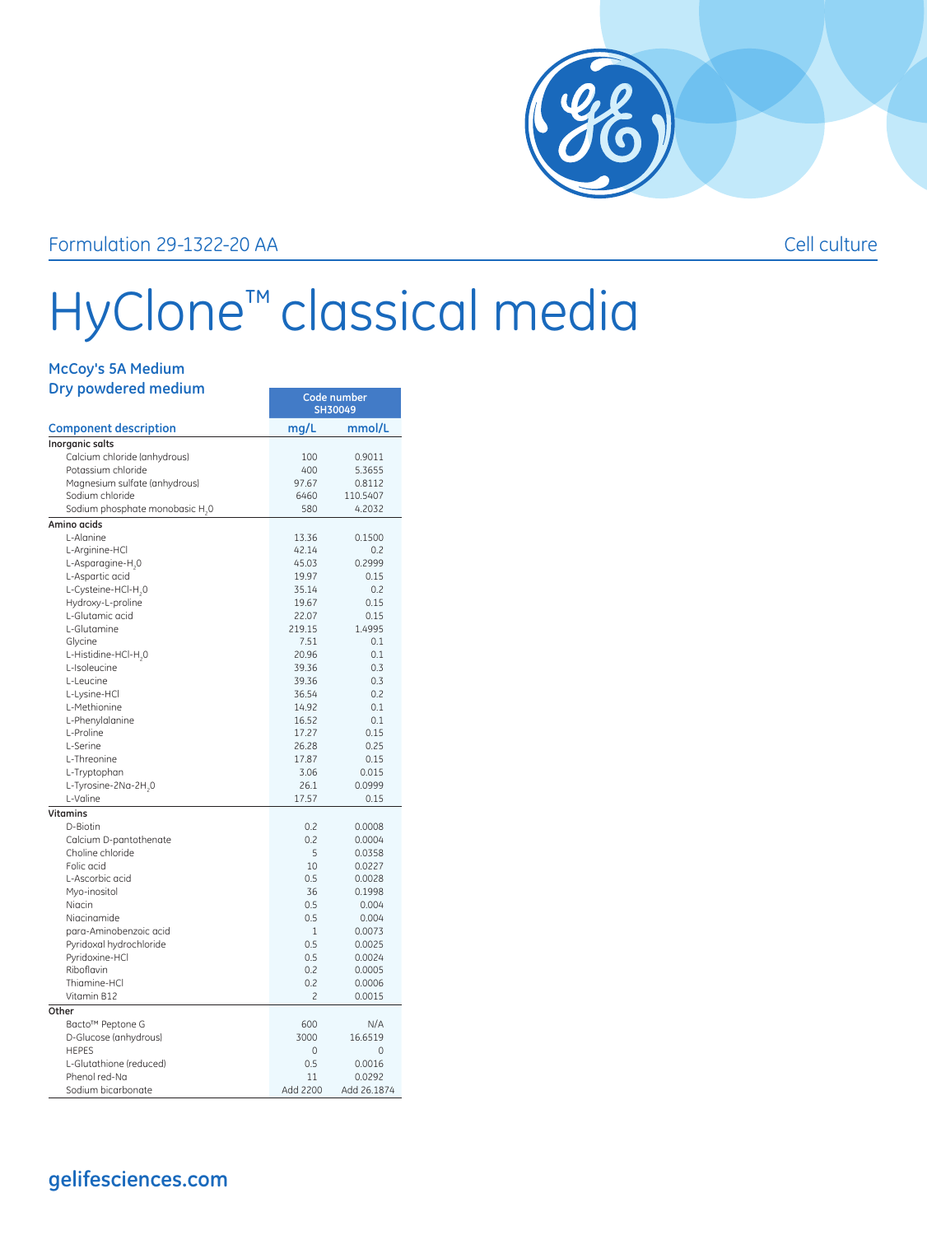

## Formulation 29-1322-20 AA Cell culture

## HyClone™ classical media

| Dry powdered medium<br><b>Component description</b> | Code number<br>SH30049 |                 |
|-----------------------------------------------------|------------------------|-----------------|
|                                                     | mg/L                   | mmol/L          |
| Inorganic salts                                     |                        |                 |
| Calcium chloride (anhydrous)                        | 100                    | 0.9011          |
| Potassium chloride                                  | 400                    | 5.3655          |
| Magnesium sulfate (anhydrous)                       | 97.67                  | 0.8112          |
| Sodium chloride                                     | 6460                   | 110.5407        |
| Sodium phosphate monobasic H <sub>2</sub> 0         | 580                    | 4.2032          |
| Amino acids                                         |                        |                 |
| L-Alanine                                           | 13.36                  | 0.1500          |
| L-Arginine-HCl                                      | 42.14                  | 0.2             |
| L-Asparagine-H <sub>,0</sub>                        | 45.03                  | 0.2999          |
| L-Aspartic acid                                     | 19.97                  | 0.15            |
| L-Cysteine-HCl-H <sub>,0</sub><br>Hydroxy-L-proline | 35.14<br>19.67         | 0.2<br>0.15     |
| L-Glutamic acid                                     | 22.07                  | 0.15            |
| L-Glutamine                                         | 219.15                 | 1.4995          |
| Glycine                                             | 7.51                   | 0.1             |
| L-Histidine-HCl-H <sub>,0</sub>                     | 20.96                  | 0.1             |
| L-Isoleucine                                        | 39.36                  | 0.3             |
| L-Leucine                                           | 39.36                  | 0.3             |
| L-Lysine-HCl                                        | 36.54                  | 0.2             |
| L-Methionine                                        | 14.92                  | 0.1             |
| L-Phenylalanine                                     | 16.52                  | 0.1             |
| L-Proline                                           | 17.27                  | 0.15            |
| L-Serine                                            | 26.28                  | 0.25            |
| L-Threonine                                         | 17.87                  | 0.15            |
| L-Tryptophan                                        | 3.06                   | 0.015           |
| L-Tyrosine-2Na-2H,0                                 | 26.1                   | 0.0999          |
| L-Valine                                            | 17.57                  | 0.15            |
| <b>Vitamins</b>                                     |                        |                 |
| D-Biotin                                            | 0.2                    | 0.0008          |
| Calcium D-pantothenate                              | 0.2                    | 0.0004          |
| Choline chloride                                    | 5                      | 0.0358          |
| Folic acid                                          | 10                     | 0.0227          |
| L-Ascorbic acid                                     | 0.5                    | 0.0028          |
| Myo-inositol                                        | 36                     | 0.1998          |
| Niacin                                              | 0.5                    | 0.004           |
| Niacinamide<br>para-Aminobenzoic acid               | 0.5<br>$\mathbf{1}$    | 0.004<br>0.0073 |
| Pyridoxal hydrochloride                             | 0.5                    | 0.0025          |
| Pyridoxine-HCl                                      | 0.5                    | 0.0024          |
| Riboflavin                                          | 0.2                    | 0.0005          |
| Thiamine-HCl                                        | 0.2                    | 0.0006          |
| Vitamin B12                                         | $\overline{c}$         | 0.0015          |
| Other                                               |                        |                 |
| Bacto™ Peptone G                                    | 600                    | N/A             |
| D-Glucose (anhydrous)                               | 3000                   | 16.6519         |
| <b>HEPES</b>                                        | 0                      | 0               |
| L-Glutathione (reduced)                             | 0.5                    | 0.0016          |
| Phenol red-Na                                       | 11                     | 0.0292          |
| Sodium bicarbonate                                  | Add 2200               | Add 26.1874     |

**gelifesciences.com**